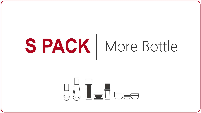# SPACK | More Bottle

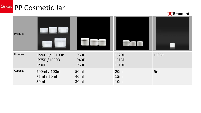#### **SPAČK** PP Cosmetic Jar



| Product  |                                                  |                                  |                                              |       |
|----------|--------------------------------------------------|----------------------------------|----------------------------------------------|-------|
| Item No. | JP200B / JP100B<br><b>JP75B / JP50B</b><br>JP30B | JP50D<br>JP40D<br>JP30D          | JP20D<br><b>JP15D</b><br><b>JP10D</b>        | JP05D |
| Capacity | 200ml / 100ml<br>75ml / 50ml<br>30ml             | 50 <sub>ml</sub><br>40ml<br>30ml | 20 <sub>ml</sub><br>15ml<br>10 <sub>ml</sub> | 5ml   |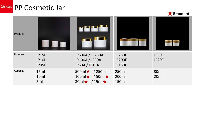#### **SPAČK** PP Cosmetic Jar



| Product  |                                       |                                                                                     |                                                 |                          |
|----------|---------------------------------------|-------------------------------------------------------------------------------------|-------------------------------------------------|--------------------------|
| Item No. | <b>JP15H</b><br><b>JP10H</b><br>JP05H | JP500A / JP250A<br>JP100A / JP50A<br>JP30A / JP15A                                  | <b>JP250E</b><br><b>JP200E</b><br><b>JP150E</b> | JP30E<br>JP20E           |
| Capacity | 15ml<br>10ml<br>5ml                   | 500ml <sup>*</sup> / 250ml<br>$100ml \star / 50ml \star$<br>$30m \star / 15m \star$ | 250ml<br>200ml<br>150ml                         | 30ml<br>20 <sub>ml</sub> |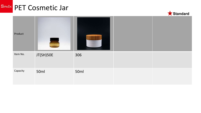#### **SPAČK** PET Cosmetic Jar



| Product  | $\equiv$  |      |  |
|----------|-----------|------|--|
| Item No. | JT(SH)50E | 306  |  |
| Capacity | 50ml      | 50ml |  |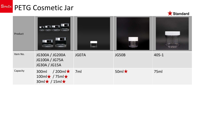#### **SPAČK PETG Cosmetic Jar**



| Product  | <u>undin</u>                                                                           |       |                 |       |
|----------|----------------------------------------------------------------------------------------|-------|-----------------|-------|
| Item No. | JG300A / JG200A<br>JG100A / JG75A<br>JG30A / JG15A                                     | JG07A | JG50B           | 405-1 |
| Capacity | $/200$ ml $\star$<br>300ml<br>$100ml\star$ / 75ml $\star$<br>$30ml \star / 15ml \star$ | 7ml   | 50ml $\bigstar$ | 75ml  |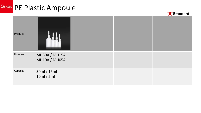# SPAČK PE Plastic Ampoule



| Product  |                                       |  |  |
|----------|---------------------------------------|--|--|
| Item No. | <b>MH30A / MH15A</b><br>MH10A / MH05A |  |  |
| Capacity | 30ml / 15ml<br>10ml / 5ml             |  |  |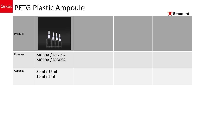### **SPAČK PETG Plastic Ampoule**



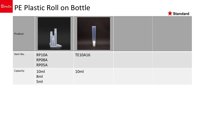#### **SPAČK** PE Plastic Roll on Bottle



| Product  |                         |                |  |
|----------|-------------------------|----------------|--|
| Item No. | RP10A<br>RP08A<br>RP05A | <b>TE10A16</b> |  |
| Capacity | 10ml<br>8ml<br>5ml      | 10ml           |  |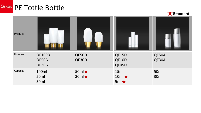#### SPAČK PE Tottle Bottle



| Product  |                          |                              |                                     |                |
|----------|--------------------------|------------------------------|-------------------------------------|----------------|
| Item No. | QE100B<br>QE50B<br>QE30B | QE50D<br>QE30D               | QE15D<br>QE10D<br>QE05D             | QE50A<br>QE30A |
| Capacity | 100ml<br>50ml<br>30ml    | $50ml \star$<br>$30ml \star$ | 15ml<br>$10ml \star$<br>$5ml \star$ | 50ml<br>30ml   |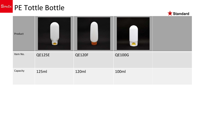#### SPAČK PE Tottle Bottle



| Product  |        |               |               |  |
|----------|--------|---------------|---------------|--|
| Item No. | QE125E | <b>QE120F</b> | <b>QE100G</b> |  |
| Capacity | 125ml  | 120ml         | 100ml         |  |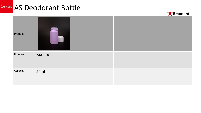#### **SPAČK** AS Deodorant Bottle



| Product  |              |  |  |
|----------|--------------|--|--|
| Item No. | <b>MA50A</b> |  |  |
| Capacity | 50ml         |  |  |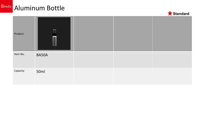## **SPAČK** Aluminum Bottle



| Product  | $\lceil \cdot \rceil$<br>J |  |  |
|----------|----------------------------|--|--|
| Item No. | BA50A                      |  |  |
| Capacity | 50ml                       |  |  |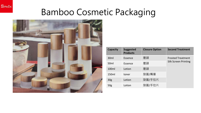



**SPAČK** 

| <b>Capacity</b>  | <b>Suggested</b><br><b>Products</b> | <b>Closure Option</b> | <b>Second Treatment</b>     |
|------------------|-------------------------------------|-----------------------|-----------------------------|
| 30 <sub>ml</sub> | Essence                             | 壓頭                    | <b>Frosted Treatment</b>    |
| 50 <sub>ml</sub> | Essence                             | 壓頭                    | <b>Silk Screen Printing</b> |
| 100ml            | Lotion                              | 壓頭                    |                             |
| 150ml            | toner                               | 旋蓋/嘴塞                 |                             |
| 30 <sub>g</sub>  | Lotion                              | 旋蓋/手拉片                |                             |
| 50 <sub>g</sub>  | Lotion                              | 旋蓋/手拉片                |                             |